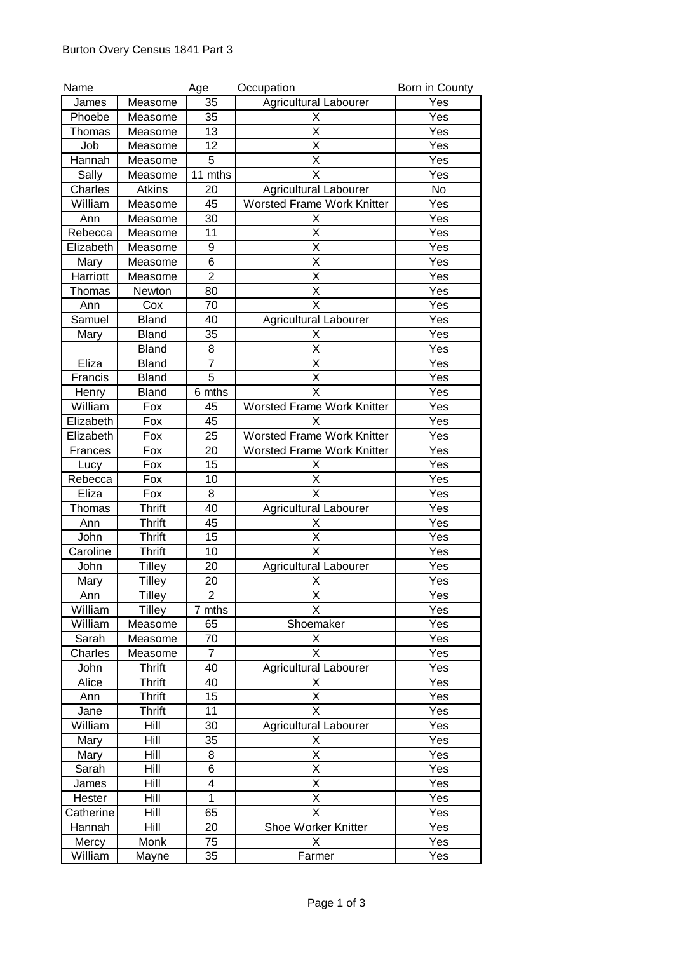| Name      |               | Age            | Occupation                        | Born in County |
|-----------|---------------|----------------|-----------------------------------|----------------|
| James     | Measome       | 35             | <b>Agricultural Labourer</b>      | Yes            |
| Phoebe    | Measome       | 35             | Х                                 | Yes            |
| Thomas    | Measome       | 13             | X                                 | Yes            |
| Job       | Measome       | 12             | X                                 | Yes            |
| Hannah    | Measome       | 5              | X                                 | Yes            |
| Sally     | Measome       | 11 mths        | X                                 | Yes            |
| Charles   | Atkins        | 20             | Agricultural Labourer             | No             |
| William   | Measome       | 45             | <b>Worsted Frame Work Knitter</b> | Yes            |
| Ann       | Measome       | 30             | х                                 | Yes            |
| Rebecca   | Measome       | 11             | X                                 | Yes            |
| Elizabeth | Measome       | 9              | X                                 | Yes            |
| Mary      | Measome       | 6              | X                                 | Yes            |
| Harriott  | Measome       | $\overline{2}$ | X                                 | Yes            |
| Thomas    | Newton        | 80             | X                                 | Yes            |
| Ann       | Cox           | 70             | X                                 | Yes            |
| Samuel    | <b>Bland</b>  | 40             | Agricultural Labourer             | Yes            |
| Mary      | <b>Bland</b>  | 35             | х                                 | Yes            |
|           | Bland         | 8              | X                                 | Yes            |
| Eliza     | <b>Bland</b>  | $\overline{7}$ | X                                 | Yes            |
| Francis   | <b>Bland</b>  | $\overline{5}$ | X                                 | Yes            |
| Henry     | <b>Bland</b>  | 6 mths         | X                                 | Yes            |
| William   | Fox           | 45             | <b>Worsted Frame Work Knitter</b> | Yes            |
| Elizabeth | Fox           | 45             | X                                 | Yes            |
| Elizabeth | Fox           | 25             | <b>Worsted Frame Work Knitter</b> | Yes            |
| Frances   | Fox           | 20             | Worsted Frame Work Knitter        | Yes            |
| Lucy      | Fox           | 15             | Χ                                 | Yes            |
| Rebecca   | Fox           | 10             | X                                 | Yes            |
| Eliza     | Fox           | 8              | X                                 | Yes            |
| Thomas    | <b>Thrift</b> | 40             | <b>Agricultural Labourer</b>      | Yes            |
| Ann       | <b>Thrift</b> | 45             | х                                 | Yes            |
| John      | <b>Thrift</b> | 15             | Χ                                 | Yes            |
| Caroline  | <b>Thrift</b> | 10             | X                                 | Yes            |
| John      | <b>Tilley</b> | 20             | <b>Agricultural Labourer</b>      | Yes            |
| Mary      | <b>Tilley</b> | 20             | X                                 | Yes            |
| Ann       | Tilley        | $\overline{2}$ | Χ                                 | Yes            |
| William   | <b>Tilley</b> | 7 mths         | $\overline{\mathsf{x}}$           | Yes            |
| William   | Measome       | 65             | Shoemaker                         | Yes            |
| Sarah     | Measome       | 70             | X                                 | Yes            |
| Charles   | Measome       | $\overline{7}$ | X                                 | Yes            |
| John      | <b>Thrift</b> | 40             | <b>Agricultural Labourer</b>      | Yes            |
| Alice     | <b>Thrift</b> | 40             | Χ                                 | Yes            |
| Ann       | <b>Thrift</b> | 15             | $\overline{\mathsf{x}}$           | Yes            |
| Jane      | <b>Thrift</b> | 11             | X                                 | Yes            |
| William   | Hill          | 30             | <b>Agricultural Labourer</b>      | Yes            |
| Mary      | Hill          | 35             | X                                 | Yes            |
| Mary      | Hill          | 8              | Χ                                 | Yes            |
| Sarah     | Hill          | 6              | X                                 | Yes            |
| James     | Hill          | 4              | X                                 | Yes            |
| Hester    | Hill          | $\mathbf{1}$   | X                                 | Yes            |
| Catherine | Hill          | 65             | X                                 | Yes            |
| Hannah    | Hill          | 20             | Shoe Worker Knitter               | Yes            |
| Mercy     | Monk          | 75             | X                                 | Yes            |
| William   | Mayne         | 35             | Farmer                            | Yes            |
|           |               |                |                                   |                |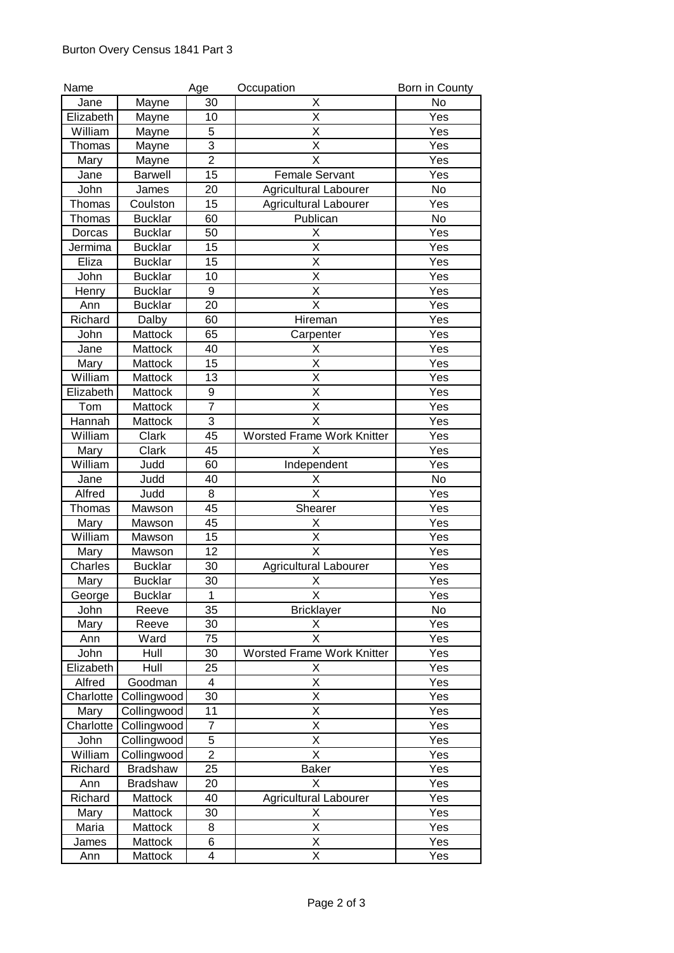| Name      |                 | Age            | Occupation                        | Born in County    |
|-----------|-----------------|----------------|-----------------------------------|-------------------|
| Jane      | Mayne           | 30             | Χ                                 | No                |
| Elizabeth | Mayne           | 10             | X                                 | Yes               |
| William   | Mayne           | 5              | Χ                                 | Yes               |
| Thomas    | Mayne           | $\overline{3}$ | X                                 | Yes               |
| Mary      | Mayne           | $\overline{2}$ | X                                 | Yes               |
| Jane      | <b>Barwell</b>  | 15             | <b>Female Servant</b>             | Yes               |
| John      | James           | 20             | <b>Agricultural Labourer</b>      | No                |
| Thomas    | Coulston        | 15             | <b>Agricultural Labourer</b>      | Yes               |
| Thomas    | <b>Bucklar</b>  | 60             | Publican                          | <b>No</b>         |
| Dorcas    | <b>Bucklar</b>  | 50             | х                                 | Yes               |
| Jermima   | <b>Bucklar</b>  | 15             | X                                 | Yes               |
| Eliza     | <b>Bucklar</b>  | 15             | X                                 | Yes               |
| John      | <b>Bucklar</b>  | 10             | $\overline{\mathsf{x}}$           | Yes               |
|           |                 | 9              | Χ                                 |                   |
| Henry     | <b>Bucklar</b>  |                | X                                 | Yes               |
| Ann       | <b>Bucklar</b>  | 20             |                                   | Yes               |
| Richard   | Dalby           | 60             | Hireman                           | Yes               |
| John      | Mattock         | 65             | Carpenter                         | Yes               |
| Jane      | Mattock         | 40             | х                                 | Yes               |
| Mary      | Mattock         | 15             | X                                 | Yes               |
| William   | Mattock         | 13             | X                                 | Yes               |
| Elizabeth | Mattock         | 9              | X                                 | Yes               |
| Tom       | Mattock         | $\overline{7}$ | X                                 | Yes               |
| Hannah    | Mattock         | 3              | $\overline{\mathsf{x}}$           | Yes               |
| William   | Clark           | 45             | <b>Worsted Frame Work Knitter</b> | Yes               |
| Mary      | Clark           | 45             | Х                                 | Yes               |
| William   | Judd            | 60             | Independent                       | Yes               |
| Jane      | Judd            | 40             | Χ                                 | No                |
| Alfred    | Judd            | 8              | $\overline{\mathsf{x}}$           | Yes               |
| Thomas    | Mawson          | 45             | Shearer                           | Yes               |
| Mary      | Mawson          | 45             | Χ                                 | Yes               |
| William   | Mawson          | 15             | Χ                                 | Yes               |
| Mary      | Mawson          | 12             | X                                 | Yes               |
| Charles   | <b>Bucklar</b>  | 30             | <b>Agricultural Labourer</b>      | Yes               |
| Mary      | <b>Bucklar</b>  | 30             | Χ                                 | Yes               |
| George    | <b>Bucklar</b>  | $\mathbf{1}$   | X                                 | Yes               |
| John      | Reeve           | 35             | <b>Bricklayer</b>                 | <b>No</b>         |
| Mary      | Reeve           | 30             | Χ                                 | Yes               |
| Ann       | Ward            | 75             | $\overline{\mathsf{x}}$           | Yes               |
| John      | Hull            | 30             | <b>Worsted Frame Work Knitter</b> | Yes               |
| Elizabeth | Hull            | 25             | х                                 | Yes               |
|           |                 | $\overline{4}$ | $\overline{\mathsf{X}}$           |                   |
| Alfred    | Goodman         |                |                                   | Yes               |
| Charlotte | Collingwood     | 30             | Χ                                 | Yes               |
| Mary      | Collingwood     | 11             | X                                 | Yes               |
| Charlotte | Collingwood     | $\overline{7}$ | X                                 | Yes               |
| John      | Collingwood     | $\overline{5}$ | $\overline{\mathsf{x}}$           | Yes               |
| William   | Collingwood     | $\overline{2}$ | X                                 | Yes               |
| Richard   | <b>Bradshaw</b> | 25             | <b>Baker</b>                      | Yes               |
| Ann       | <b>Bradshaw</b> | 20             | X                                 | Yes               |
| Richard   | Mattock         | 40             | <b>Agricultural Labourer</b>      | $\overline{Y}$ es |
| Mary      | Mattock         | 30             | Χ                                 | Yes               |
| Maria     | Mattock         | 8              | X                                 | Yes               |
| James     | Mattock         | 6              | $\overline{\mathsf{x}}$           | Yes               |
| Ann       | Mattock         | 4              | $\overline{\mathsf{x}}$           | Yes               |
|           |                 |                |                                   |                   |